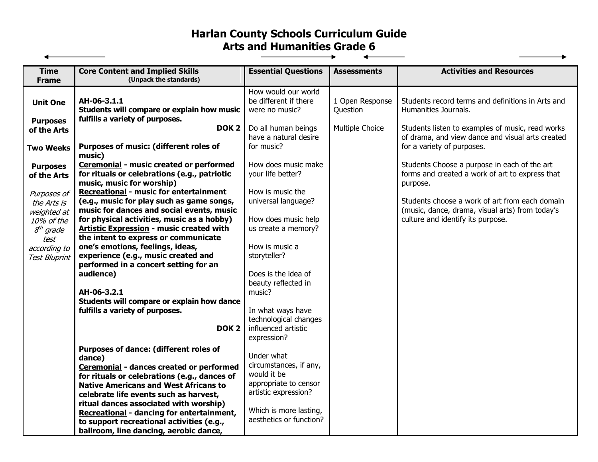## **Harlan County Schools Curriculum Guide Arts and Humanities Grade 6**  $\overline{\phantom{a}}$

| <b>Core Content and Implied Skills</b><br><b>Time</b>                                                                                          | <b>Essential Questions</b>                                                       | <b>Assessments</b>          | <b>Activities and Resources</b>                                                                 |
|------------------------------------------------------------------------------------------------------------------------------------------------|----------------------------------------------------------------------------------|-----------------------------|-------------------------------------------------------------------------------------------------|
| (Unpack the standards)<br><b>Frame</b>                                                                                                         |                                                                                  |                             |                                                                                                 |
| AH-06-3.1.1<br><b>Unit One</b><br>Students will compare or explain how music                                                                   | How would our world<br>be different if there<br>were no music?                   | 1 Open Response<br>Ouestion | Students record terms and definitions in Arts and<br>Humanities Journals.                       |
| fulfills a variety of purposes.<br><b>Purposes</b><br>DOK <sub>2</sub><br>of the Arts                                                          | Do all human beings                                                              | Multiple Choice             | Students listen to examples of music, read works                                                |
| Purposes of music: (different roles of<br><b>Two Weeks</b><br>music)                                                                           | have a natural desire<br>for music?                                              |                             | of drama, and view dance and visual arts created<br>for a variety of purposes.                  |
| <b>Ceremonial - music created or performed</b><br><b>Purposes</b><br>for rituals or celebrations (e.g., patriotic<br>of the Arts               | How does music make<br>your life better?                                         |                             | Students Choose a purpose in each of the art<br>forms and created a work of art to express that |
| music, music for worship)<br>Recreational - music for entertainment<br>Purposes of<br>(e.g., music for play such as game songs,<br>the Arts is | How is music the<br>universal language?                                          |                             | purpose.<br>Students choose a work of art from each domain                                      |
| music for dances and social events, music<br>weighted at<br>for physical activities, music as a hobby)<br>10% of the                           | How does music help                                                              |                             | (music, dance, drama, visual arts) from today's<br>culture and identify its purpose.            |
| Artistic Expression - music created with<br>$8th$ grade<br>the intent to express or communicate<br>test<br>one's emotions, feelings, ideas,    | us create a memory?<br>How is music a                                            |                             |                                                                                                 |
| according to<br>experience (e.g., music created and<br><b>Test Bluprint</b><br>performed in a concert setting for an                           | storyteller?                                                                     |                             |                                                                                                 |
| audience)                                                                                                                                      | Does is the idea of<br>beauty reflected in                                       |                             |                                                                                                 |
| AH-06-3.2.1                                                                                                                                    | music?                                                                           |                             |                                                                                                 |
| Students will compare or explain how dance                                                                                                     |                                                                                  |                             |                                                                                                 |
| fulfills a variety of purposes.<br>DOK <sub>2</sub>                                                                                            | In what ways have<br>technological changes<br>influenced artistic<br>expression? |                             |                                                                                                 |
| Purposes of dance: (different roles of<br>dance)                                                                                               | Under what                                                                       |                             |                                                                                                 |
| Ceremonial - dances created or performed<br>for rituals or celebrations (e.g., dances of<br><b>Native Americans and West Africans to</b>       | circumstances, if any,<br>would it be<br>appropriate to censor                   |                             |                                                                                                 |
| celebrate life events such as harvest,<br>ritual dances associated with worship)                                                               | artistic expression?                                                             |                             |                                                                                                 |
| Recreational - dancing for entertainment,<br>to support recreational activities (e.g.,<br>ballroom, line dancing, aerobic dance,               | Which is more lasting,<br>aesthetics or function?                                |                             |                                                                                                 |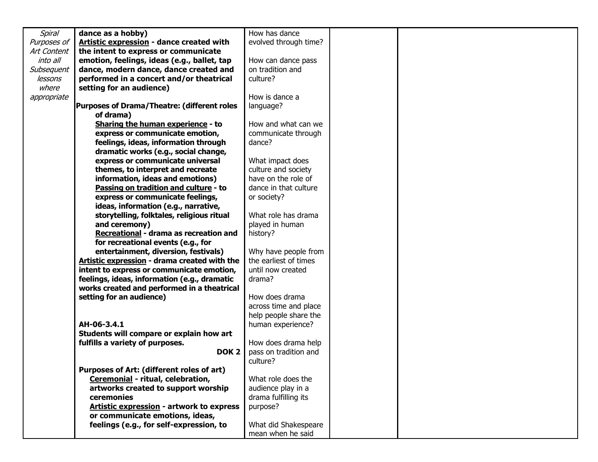| <b>Spiral</b> | dance as a hobby)                                  | How has dance         |  |
|---------------|----------------------------------------------------|-----------------------|--|
| Purposes of   | Artistic expression - dance created with           | evolved through time? |  |
| Art Content   | the intent to express or communicate               |                       |  |
| into all      | emotion, feelings, ideas (e.g., ballet, tap        | How can dance pass    |  |
| Subsequent    | dance, modern dance, dance created and             | on tradition and      |  |
| lessons       | performed in a concert and/or theatrical           | culture?              |  |
| where         | setting for an audience)                           |                       |  |
| appropriate   |                                                    | How is dance a        |  |
|               | <b>Purposes of Drama/Theatre: (different roles</b> | language?             |  |
|               | of drama)                                          |                       |  |
|               | Sharing the human experience - to                  | How and what can we   |  |
|               | express or communicate emotion,                    | communicate through   |  |
|               | feelings, ideas, information through               | dance?                |  |
|               | dramatic works (e.g., social change,               |                       |  |
|               | express or communicate universal                   | What impact does      |  |
|               | themes, to interpret and recreate                  | culture and society   |  |
|               | information, ideas and emotions)                   | have on the role of   |  |
|               | Passing on tradition and culture - to              | dance in that culture |  |
|               | express or communicate feelings,                   | or society?           |  |
|               | ideas, information (e.g., narrative,               |                       |  |
|               | storytelling, folktales, religious ritual          | What role has drama   |  |
|               | and ceremony)                                      | played in human       |  |
|               | Recreational - drama as recreation and             | history?              |  |
|               | for recreational events (e.g., for                 |                       |  |
|               | entertainment, diversion, festivals)               | Why have people from  |  |
|               | Artistic expression - drama created with the       | the earliest of times |  |
|               | intent to express or communicate emotion,          | until now created     |  |
|               | feelings, ideas, information (e.g., dramatic       | drama?                |  |
|               | works created and performed in a theatrical        |                       |  |
|               | setting for an audience)                           | How does drama        |  |
|               |                                                    | across time and place |  |
|               |                                                    | help people share the |  |
|               | AH-06-3.4.1                                        | human experience?     |  |
|               | Students will compare or explain how art           |                       |  |
|               | fulfills a variety of purposes.                    | How does drama help   |  |
|               | DOK <sub>2</sub>                                   | pass on tradition and |  |
|               |                                                    | culture?              |  |
|               | Purposes of Art: (different roles of art)          |                       |  |
|               | Ceremonial - ritual, celebration,                  | What role does the    |  |
|               | artworks created to support worship                | audience play in a    |  |
|               | ceremonies                                         | drama fulfilling its  |  |
|               | Artistic expression - artwork to express           | purpose?              |  |
|               | or communicate emotions, ideas,                    |                       |  |
|               | feelings (e.g., for self-expression, to            | What did Shakespeare  |  |
|               |                                                    | mean when he said     |  |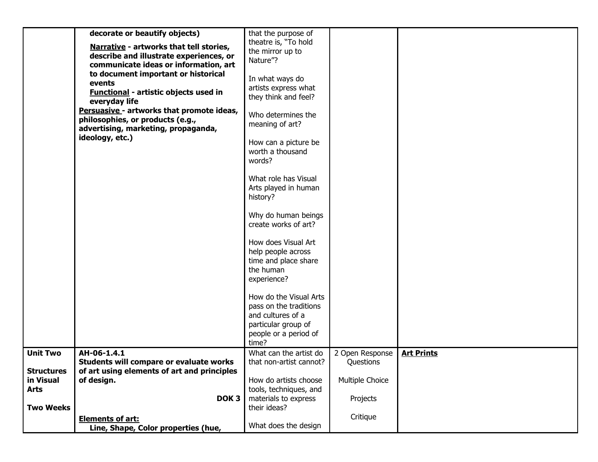|                                               | decorate or beautify objects)<br>Narrative - artworks that tell stories,<br>describe and illustrate experiences, or<br>communicate ideas or information, art | that the purpose of<br>theatre is, "To hold<br>the mirror up to<br>Nature"?                   |                              |                   |
|-----------------------------------------------|--------------------------------------------------------------------------------------------------------------------------------------------------------------|-----------------------------------------------------------------------------------------------|------------------------------|-------------------|
|                                               | to document important or historical<br>events<br><b>Functional - artistic objects used in</b><br>everyday life<br>Persuasive - artworks that promote ideas,  | In what ways do<br>artists express what<br>they think and feel?                               |                              |                   |
|                                               | philosophies, or products (e.g.,<br>advertising, marketing, propaganda,<br>ideology, etc.)                                                                   | Who determines the<br>meaning of art?                                                         |                              |                   |
|                                               |                                                                                                                                                              | How can a picture be<br>worth a thousand<br>words?                                            |                              |                   |
|                                               |                                                                                                                                                              | What role has Visual<br>Arts played in human<br>history?                                      |                              |                   |
|                                               |                                                                                                                                                              | Why do human beings<br>create works of art?                                                   |                              |                   |
|                                               |                                                                                                                                                              | How does Visual Art<br>help people across<br>time and place share<br>the human<br>experience? |                              |                   |
|                                               |                                                                                                                                                              | How do the Visual Arts<br>pass on the traditions<br>and cultures of a                         |                              |                   |
|                                               |                                                                                                                                                              | particular group of<br>people or a period of<br>time?                                         |                              |                   |
| <b>Unit Two</b>                               | AH-06-1.4.1<br>Students will compare or evaluate works                                                                                                       | What can the artist do<br>that non-artist cannot?                                             | 2 Open Response<br>Questions | <b>Art Prints</b> |
| <b>Structures</b><br>in Visual<br><b>Arts</b> | of art using elements of art and principles<br>of design.                                                                                                    | How do artists choose<br>tools, techniques, and                                               | Multiple Choice              |                   |
| <b>Two Weeks</b>                              | DOK <sub>3</sub>                                                                                                                                             | materials to express<br>their ideas?                                                          | Projects                     |                   |
|                                               | <b>Elements of art:</b><br>Line, Shape, Color properties (hue,                                                                                               | What does the design                                                                          | Critique                     |                   |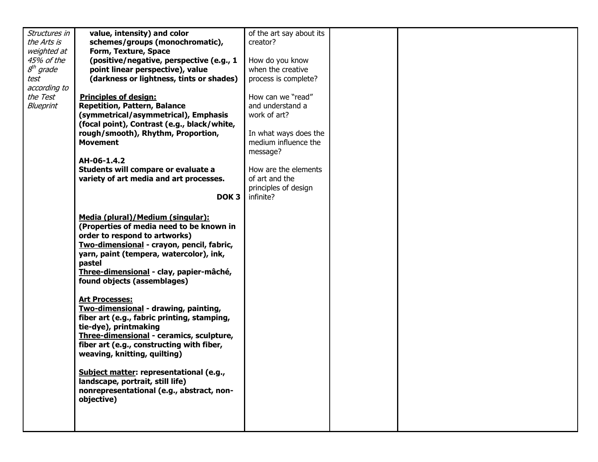| Structures in | value, intensity) and color                                                                                                                                                                                                                                                                                                                                                                                                                                                                                                                                                                                                                                                                            | of the art say about its |  |  |
|---------------|--------------------------------------------------------------------------------------------------------------------------------------------------------------------------------------------------------------------------------------------------------------------------------------------------------------------------------------------------------------------------------------------------------------------------------------------------------------------------------------------------------------------------------------------------------------------------------------------------------------------------------------------------------------------------------------------------------|--------------------------|--|--|
| the Arts is   | schemes/groups (monochromatic),                                                                                                                                                                                                                                                                                                                                                                                                                                                                                                                                                                                                                                                                        | creator?                 |  |  |
| weighted at   | Form, Texture, Space                                                                                                                                                                                                                                                                                                                                                                                                                                                                                                                                                                                                                                                                                   |                          |  |  |
| 45% of the    | (positive/negative, perspective (e.g., 1                                                                                                                                                                                                                                                                                                                                                                                                                                                                                                                                                                                                                                                               | How do you know          |  |  |
| $8th$ grade   | point linear perspective), value                                                                                                                                                                                                                                                                                                                                                                                                                                                                                                                                                                                                                                                                       | when the creative        |  |  |
| test          | (darkness or lightness, tints or shades)                                                                                                                                                                                                                                                                                                                                                                                                                                                                                                                                                                                                                                                               | process is complete?     |  |  |
| according to  |                                                                                                                                                                                                                                                                                                                                                                                                                                                                                                                                                                                                                                                                                                        |                          |  |  |
| the Test      | <b>Principles of design:</b>                                                                                                                                                                                                                                                                                                                                                                                                                                                                                                                                                                                                                                                                           | How can we "read"        |  |  |
| Blueprint     | <b>Repetition, Pattern, Balance</b>                                                                                                                                                                                                                                                                                                                                                                                                                                                                                                                                                                                                                                                                    | and understand a         |  |  |
|               | (symmetrical/asymmetrical), Emphasis                                                                                                                                                                                                                                                                                                                                                                                                                                                                                                                                                                                                                                                                   | work of art?             |  |  |
|               | (focal point), Contrast (e.g., black/white,                                                                                                                                                                                                                                                                                                                                                                                                                                                                                                                                                                                                                                                            |                          |  |  |
|               | rough/smooth), Rhythm, Proportion,                                                                                                                                                                                                                                                                                                                                                                                                                                                                                                                                                                                                                                                                     | In what ways does the    |  |  |
|               | <b>Movement</b>                                                                                                                                                                                                                                                                                                                                                                                                                                                                                                                                                                                                                                                                                        | medium influence the     |  |  |
|               |                                                                                                                                                                                                                                                                                                                                                                                                                                                                                                                                                                                                                                                                                                        | message?                 |  |  |
|               | AH-06-1.4.2                                                                                                                                                                                                                                                                                                                                                                                                                                                                                                                                                                                                                                                                                            |                          |  |  |
|               | Students will compare or evaluate a                                                                                                                                                                                                                                                                                                                                                                                                                                                                                                                                                                                                                                                                    | How are the elements     |  |  |
|               | variety of art media and art processes.                                                                                                                                                                                                                                                                                                                                                                                                                                                                                                                                                                                                                                                                | of art and the           |  |  |
|               |                                                                                                                                                                                                                                                                                                                                                                                                                                                                                                                                                                                                                                                                                                        | principles of design     |  |  |
|               | DOK <sub>3</sub>                                                                                                                                                                                                                                                                                                                                                                                                                                                                                                                                                                                                                                                                                       | infinite?                |  |  |
|               | Media (plural)/Medium (singular):<br>(Properties of media need to be known in<br>order to respond to artworks)<br>Two-dimensional - crayon, pencil, fabric,<br>yarn, paint (tempera, watercolor), ink,<br>pastel<br>Three-dimensional - clay, papier-mâché,<br>found objects (assemblages)<br><b>Art Processes:</b><br>Two-dimensional - drawing, painting,<br>fiber art (e.g., fabric printing, stamping,<br>tie-dye), printmaking<br>Three-dimensional - ceramics, sculpture,<br>fiber art (e.g., constructing with fiber,<br>weaving, knitting, quilting)<br>Subject matter: representational (e.g.,<br>landscape, portrait, still life)<br>nonrepresentational (e.g., abstract, non-<br>objective) |                          |  |  |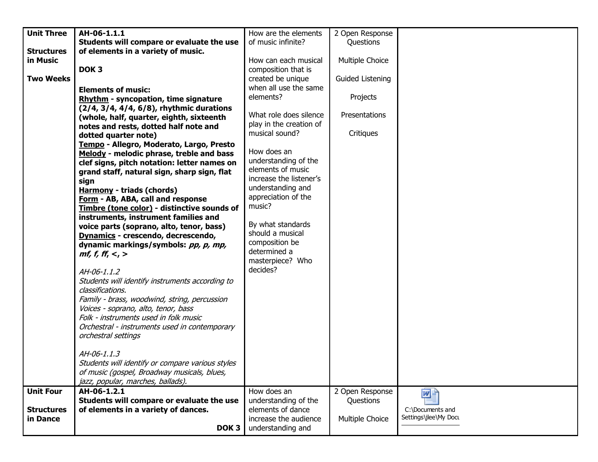| <b>Unit Three</b> | AH-06-1.1.1                                      | How are the elements    | 2 Open Response  |                                           |
|-------------------|--------------------------------------------------|-------------------------|------------------|-------------------------------------------|
|                   | Students will compare or evaluate the use        | of music infinite?      | Questions        |                                           |
| <b>Structures</b> | of elements in a variety of music.               |                         |                  |                                           |
| in Music          |                                                  | How can each musical    | Multiple Choice  |                                           |
|                   | DOK <sub>3</sub>                                 | composition that is     |                  |                                           |
| <b>Two Weeks</b>  |                                                  | created be unique       | Guided Listening |                                           |
|                   | <b>Elements of music:</b>                        | when all use the same   |                  |                                           |
|                   |                                                  | elements?               | Projects         |                                           |
|                   | <b>Rhythm - syncopation, time signature</b>      |                         |                  |                                           |
|                   | (2/4, 3/4, 4/4, 6/8), rhythmic durations         | What role does silence  | Presentations    |                                           |
|                   | (whole, half, quarter, eighth, sixteenth         | play in the creation of |                  |                                           |
|                   | notes and rests, dotted half note and            | musical sound?          | Critiques        |                                           |
|                   | dotted quarter note)                             |                         |                  |                                           |
|                   | Tempo - Allegro, Moderato, Largo, Presto         | How does an             |                  |                                           |
|                   | Melody - melodic phrase, treble and bass         | understanding of the    |                  |                                           |
|                   | clef signs, pitch notation: letter names on      | elements of music       |                  |                                           |
|                   | grand staff, natural sign, sharp sign, flat      | increase the listener's |                  |                                           |
|                   | sign                                             | understanding and       |                  |                                           |
|                   | <b>Harmony - triads (chords)</b>                 | appreciation of the     |                  |                                           |
|                   | Form - AB, ABA, call and response                | music?                  |                  |                                           |
|                   | Timbre (tone color) - distinctive sounds of      |                         |                  |                                           |
|                   | instruments, instrument families and             | By what standards       |                  |                                           |
|                   | voice parts (soprano, alto, tenor, bass)         | should a musical        |                  |                                           |
|                   | Dynamics - crescendo, decrescendo,               | composition be          |                  |                                           |
|                   | dynamic markings/symbols: pp, p, mp,             | determined a            |                  |                                           |
|                   | <i>mf, f, ff, &lt;, &gt;</i>                     | masterpiece? Who        |                  |                                           |
|                   |                                                  | decides?                |                  |                                           |
|                   | AH-06-1.1.2                                      |                         |                  |                                           |
|                   | Students will identify instruments according to  |                         |                  |                                           |
|                   | classifications.                                 |                         |                  |                                           |
|                   | Family - brass, woodwind, string, percussion     |                         |                  |                                           |
|                   | Voices - soprano, alto, tenor, bass              |                         |                  |                                           |
|                   | Folk - instruments used in folk music            |                         |                  |                                           |
|                   | Orchestral - instruments used in contemporary    |                         |                  |                                           |
|                   | orchestral settings                              |                         |                  |                                           |
|                   | AH-06-1.1.3                                      |                         |                  |                                           |
|                   | Students will identify or compare various styles |                         |                  |                                           |
|                   |                                                  |                         |                  |                                           |
|                   | of music (gospel, Broadway musicals, blues,      |                         |                  |                                           |
|                   | jazz, popular, marches, ballads).                |                         |                  |                                           |
| <b>Unit Four</b>  | AH-06-1.2.1                                      | How does an             | 2 Open Response  | 网                                         |
|                   | Students will compare or evaluate the use        | understanding of the    | Questions        |                                           |
| <b>Structures</b> | of elements in a variety of dances.              | elements of dance       |                  | C:\Documents and<br>Settings\jlee\My Docu |
| in Dance          |                                                  | increase the audience   | Multiple Choice  |                                           |
|                   | DOK <sub>3</sub>                                 | understanding and       |                  |                                           |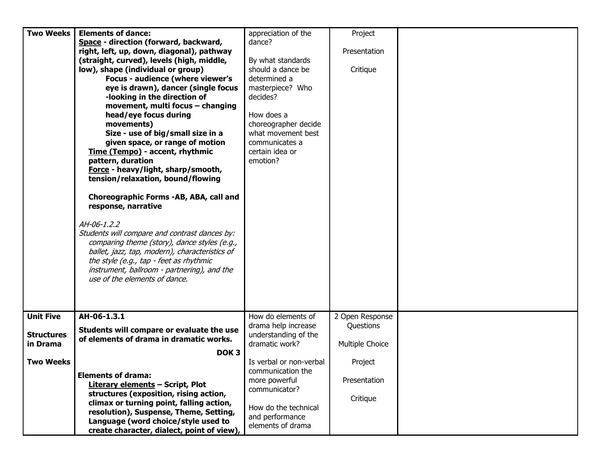| <b>Two Weeks</b>  | <b>Elements of dance:</b>                      | appreciation of the     | Project         |  |
|-------------------|------------------------------------------------|-------------------------|-----------------|--|
|                   | Space - direction (forward, backward,          | dance?                  |                 |  |
|                   | right, left, up, down, diagonal), pathway      |                         | Presentation    |  |
|                   | (straight, curved), levels (high, middle,      | By what standards       |                 |  |
|                   | low), shape (individual or group)              | should a dance be       | Critique        |  |
|                   | Focus - audience (where viewer's               | determined a            |                 |  |
|                   | eye is drawn), dancer (single focus            | masterpiece? Who        |                 |  |
|                   | -looking in the direction of                   | decides?                |                 |  |
|                   | movement, multi focus - changing               |                         |                 |  |
|                   |                                                |                         |                 |  |
|                   | head/eye focus during                          | How does a              |                 |  |
|                   | movements)                                     | choreographer decide    |                 |  |
|                   | Size - use of big/small size in a              | what movement best      |                 |  |
|                   | given space, or range of motion                | communicates a          |                 |  |
|                   | Time (Tempo) - accent, rhythmic                | certain idea or         |                 |  |
|                   | pattern, duration                              | emotion?                |                 |  |
|                   | Force - heavy/light, sharp/smooth,             |                         |                 |  |
|                   | tension/relaxation, bound/flowing              |                         |                 |  |
|                   |                                                |                         |                 |  |
|                   | Choreographic Forms -AB, ABA, call and         |                         |                 |  |
|                   | response, narrative                            |                         |                 |  |
|                   |                                                |                         |                 |  |
|                   | AH-06-1.2.2                                    |                         |                 |  |
|                   | Students will compare and contrast dances by:  |                         |                 |  |
|                   | comparing theme (story), dance styles (e.g.,   |                         |                 |  |
|                   | ballet, jazz, tap, modern), characteristics of |                         |                 |  |
|                   | the style (e.g., tap - feet as rhythmic        |                         |                 |  |
|                   |                                                |                         |                 |  |
|                   | instrument, ballroom - partnering), and the    |                         |                 |  |
|                   | use of the elements of dance.                  |                         |                 |  |
|                   |                                                |                         |                 |  |
|                   |                                                |                         |                 |  |
|                   |                                                |                         |                 |  |
| <b>Unit Five</b>  | AH-06-1.3.1                                    | How do elements of      | 2 Open Response |  |
|                   | Students will compare or evaluate the use      | drama help increase     | Questions       |  |
| <b>Structures</b> | of elements of drama in dramatic works.        | understanding of the    |                 |  |
| in Drama          |                                                | dramatic work?          | Multiple Choice |  |
|                   | DOK <sub>3</sub>                               |                         |                 |  |
| <b>Two Weeks</b>  |                                                | Is verbal or non-verbal | Project         |  |
|                   |                                                | communication the       |                 |  |
|                   | <b>Elements of drama:</b>                      | more powerful           | Presentation    |  |
|                   | <b>Literary elements - Script, Plot</b>        | communicator?           |                 |  |
|                   | structures (exposition, rising action,         |                         | Critique        |  |
|                   | climax or turning point, falling action,       | How do the technical    |                 |  |
|                   | resolution), Suspense, Theme, Setting,         | and performance         |                 |  |
|                   | Language (word choice/style used to            |                         |                 |  |
|                   | create character, dialect, point of view),     | elements of drama       |                 |  |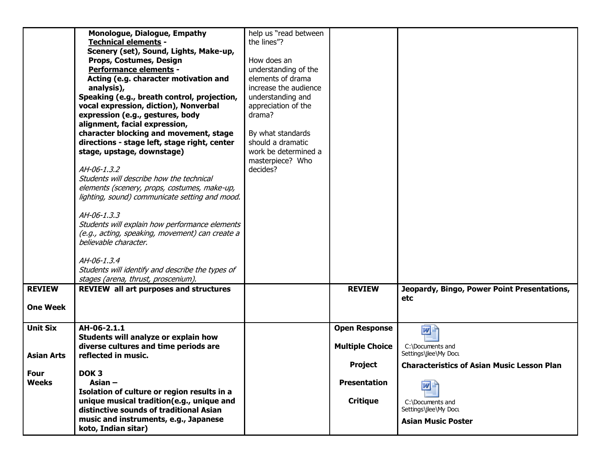|                   | <b>Monologue, Dialogue, Empathy</b>                                      | help us "read between |                        |                                                   |
|-------------------|--------------------------------------------------------------------------|-----------------------|------------------------|---------------------------------------------------|
|                   | <b>Technical elements -</b>                                              | the lines"?           |                        |                                                   |
|                   | Scenery (set), Sound, Lights, Make-up,                                   |                       |                        |                                                   |
|                   | Props, Costumes, Design                                                  | How does an           |                        |                                                   |
|                   | Performance elements -                                                   | understanding of the  |                        |                                                   |
|                   | Acting (e.g. character motivation and                                    | elements of drama     |                        |                                                   |
|                   | analysis),                                                               | increase the audience |                        |                                                   |
|                   | Speaking (e.g., breath control, projection,                              | understanding and     |                        |                                                   |
|                   | vocal expression, diction), Nonverbal                                    | appreciation of the   |                        |                                                   |
|                   | expression (e.g., gestures, body                                         | drama?                |                        |                                                   |
|                   | alignment, facial expression,                                            |                       |                        |                                                   |
|                   | character blocking and movement, stage                                   | By what standards     |                        |                                                   |
|                   | directions - stage left, stage right, center                             | should a dramatic     |                        |                                                   |
|                   | stage, upstage, downstage)                                               | work be determined a  |                        |                                                   |
|                   |                                                                          | masterpiece? Who      |                        |                                                   |
|                   | AH-06-1.3.2                                                              | decides?              |                        |                                                   |
|                   | Students will describe how the technical                                 |                       |                        |                                                   |
|                   | elements (scenery, props, costumes, make-up,                             |                       |                        |                                                   |
|                   | lighting, sound) communicate setting and mood.                           |                       |                        |                                                   |
|                   |                                                                          |                       |                        |                                                   |
|                   | AH-06-1.3.3                                                              |                       |                        |                                                   |
|                   | Students will explain how performance elements                           |                       |                        |                                                   |
|                   | (e.g., acting, speaking, movement) can create a<br>believable character. |                       |                        |                                                   |
|                   |                                                                          |                       |                        |                                                   |
|                   | AH-06-1.3.4                                                              |                       |                        |                                                   |
|                   | Students will identify and describe the types of                         |                       |                        |                                                   |
|                   | stages (arena, thrust, proscenium).                                      |                       |                        |                                                   |
| <b>REVIEW</b>     | <b>REVIEW all art purposes and structures</b>                            |                       | <b>REVIEW</b>          | Jeopardy, Bingo, Power Point Presentations,       |
|                   |                                                                          |                       |                        | etc                                               |
| <b>One Week</b>   |                                                                          |                       |                        |                                                   |
|                   |                                                                          |                       |                        |                                                   |
| <b>Unit Six</b>   | AH-06-2.1.1                                                              |                       | <b>Open Response</b>   | $W =$                                             |
|                   | Students will analyze or explain how                                     |                       |                        |                                                   |
|                   | diverse cultures and time periods are                                    |                       | <b>Multiple Choice</b> | C:\Documents and                                  |
| <b>Asian Arts</b> | reflected in music.                                                      |                       |                        | Settings\jlee\My Docu                             |
|                   |                                                                          |                       | <b>Project</b>         | <b>Characteristics of Asian Music Lesson Plan</b> |
| Four              | DOK <sub>3</sub>                                                         |                       |                        |                                                   |
| <b>Weeks</b>      | Asian $-$                                                                |                       | <b>Presentation</b>    | wĿ                                                |
|                   | Isolation of culture or region results in a                              |                       |                        |                                                   |
|                   | unique musical tradition(e.g., unique and                                |                       | <b>Critique</b>        | C:\Documents and                                  |
|                   | distinctive sounds of traditional Asian                                  |                       |                        | Settings\jlee\My Docu                             |
|                   | music and instruments, e.g., Japanese                                    |                       |                        | <b>Asian Music Poster</b>                         |
|                   | koto, Indian sitar)                                                      |                       |                        |                                                   |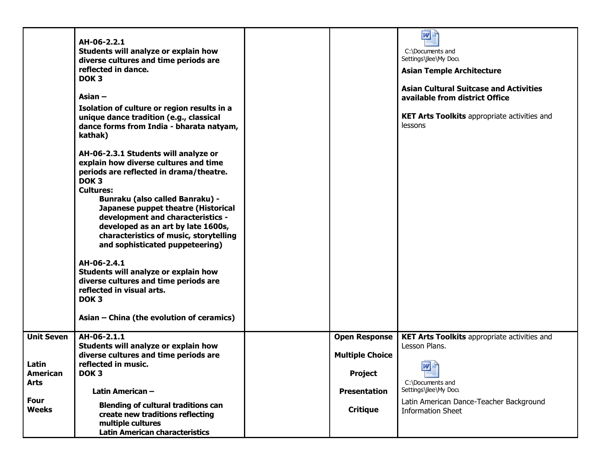|                                  | AH-06-2.2.1<br>Students will analyze or explain how<br>diverse cultures and time periods are<br>reflected in dance.<br>DOK <sub>3</sub><br>Asian $-$<br>Isolation of culture or region results in a<br>unique dance tradition (e.g., classical<br>dance forms from India - bharata natyam,<br>kathak)<br>AH-06-2.3.1 Students will analyze or<br>explain how diverse cultures and time<br>periods are reflected in drama/theatre.<br>DOK <sub>3</sub><br><b>Cultures:</b><br><b>Bunraku (also called Banraku) -</b><br>Japanese puppet theatre (Historical<br>development and characteristics -<br>developed as an art by late 1600s,<br>characteristics of music, storytelling<br>and sophisticated puppeteering)<br>AH-06-2.4.1<br>Students will analyze or explain how<br>diverse cultures and time periods are<br>reflected in visual arts.<br>DOK <sub>3</sub><br>Asian - China (the evolution of ceramics) |                                                | 四目<br>C:\Documents and<br>Settings\jlee\My Docu<br><b>Asian Temple Architecture</b><br><b>Asian Cultural Suitcase and Activities</b><br>available from district Office<br><b>KET Arts Toolkits appropriate activities and</b><br>lessons |
|----------------------------------|------------------------------------------------------------------------------------------------------------------------------------------------------------------------------------------------------------------------------------------------------------------------------------------------------------------------------------------------------------------------------------------------------------------------------------------------------------------------------------------------------------------------------------------------------------------------------------------------------------------------------------------------------------------------------------------------------------------------------------------------------------------------------------------------------------------------------------------------------------------------------------------------------------------|------------------------------------------------|------------------------------------------------------------------------------------------------------------------------------------------------------------------------------------------------------------------------------------------|
| <b>Unit Seven</b>                | AH-06-2.1.1<br>Students will analyze or explain how<br>diverse cultures and time periods are                                                                                                                                                                                                                                                                                                                                                                                                                                                                                                                                                                                                                                                                                                                                                                                                                     | <b>Open Response</b><br><b>Multiple Choice</b> | <b>KET Arts Toolkits appropriate activities and</b><br>Lesson Plans.                                                                                                                                                                     |
| Latin<br><b>American</b><br>Arts | reflected in music.<br>DOK <sub>3</sub>                                                                                                                                                                                                                                                                                                                                                                                                                                                                                                                                                                                                                                                                                                                                                                                                                                                                          | <b>Project</b>                                 | 四<br>C:\Documents and                                                                                                                                                                                                                    |
|                                  | Latin American-                                                                                                                                                                                                                                                                                                                                                                                                                                                                                                                                                                                                                                                                                                                                                                                                                                                                                                  | <b>Presentation</b>                            | Settings\jlee\My Docu                                                                                                                                                                                                                    |
| Four<br><b>Weeks</b>             | <b>Blending of cultural traditions can</b><br>create new traditions reflecting<br>multiple cultures<br><b>Latin American characteristics</b>                                                                                                                                                                                                                                                                                                                                                                                                                                                                                                                                                                                                                                                                                                                                                                     | <b>Critique</b>                                | Latin American Dance-Teacher Background<br><b>Information Sheet</b>                                                                                                                                                                      |